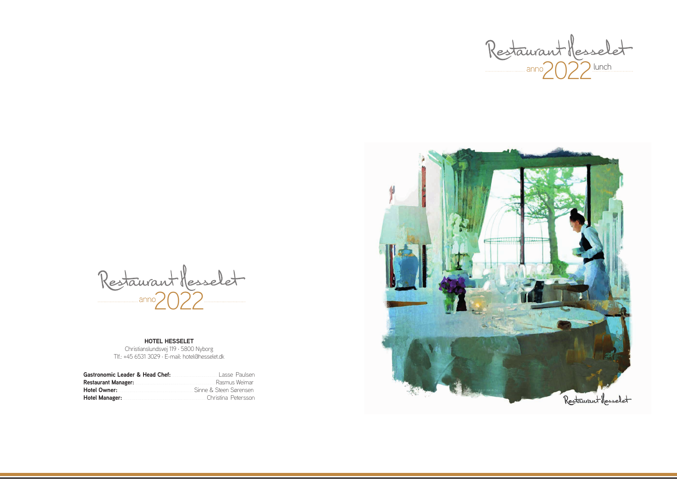Restaurant Messelet

#### **HOTEL HESSELET**

Christianslundsvej 119 · 5800 Nyborg Tlf.: +45 6531 3029 · E-mail: hotel@hesselet.dk

| Gastronomic Leader & Head Chef:                                                                                 | Lasse Paulsen          |
|-----------------------------------------------------------------------------------------------------------------|------------------------|
| Restaurant Manager: Managering Managering Managering Managering Managering Management Management Management Ma  | Rasmus Weimar          |
| Hotel Owner: Marketing Marketing Marketing Marketing Marketing Marketing Marketing Marketing Marketing Marketi  | Sinne & Steen Sørensen |
| Hotel Manager: Manager: Manager & Manager & Manager & Manager & Manager & Manager & Manager & Manager & Manager | Christina Petersson    |



2022 lunch